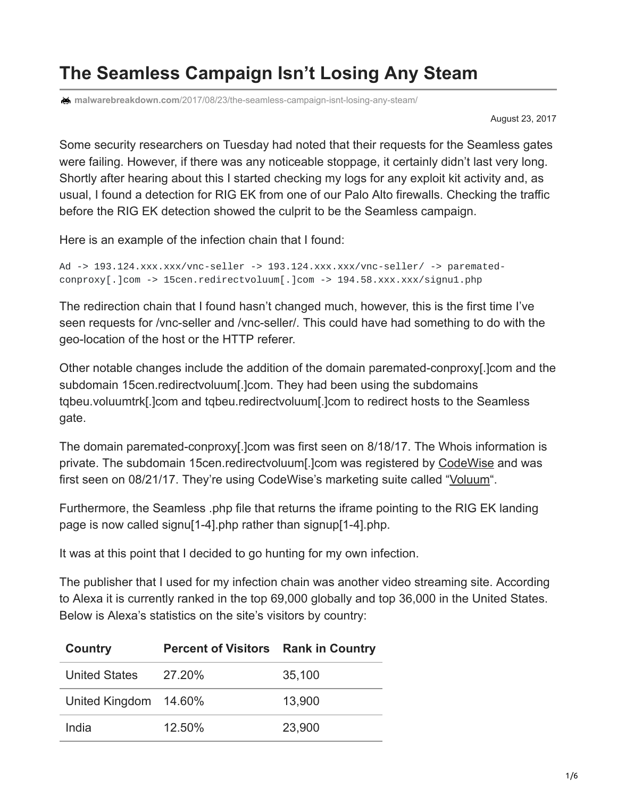## **The Seamless Campaign Isn't Losing Any Steam**

**malwarebreakdown.com**[/2017/08/23/the-seamless-campaign-isnt-losing-any-steam/](https://malwarebreakdown.com/2017/08/23/the-seamless-campaign-isnt-losing-any-steam/)

August 23, 2017

Some security researchers on Tuesday had noted that their requests for the Seamless gates were failing. However, if there was any noticeable stoppage, it certainly didn't last very long. Shortly after hearing about this I started checking my logs for any exploit kit activity and, as usual, I found a detection for RIG EK from one of our Palo Alto firewalls. Checking the traffic before the RIG EK detection showed the culprit to be the Seamless campaign.

Here is an example of the infection chain that I found:

```
Ad -> 193.124.xxx.xxx/vnc-seller -> 193.124.xxx.xxx/vnc-seller/ -> paremated-
conproxy[.]com -> 15cen.redirectvoluum[.]com -> 194.58.xxx.xxx/signu1.php
```
The redirection chain that I found hasn't changed much, however, this is the first time I've seen requests for /vnc-seller and /vnc-seller/. This could have had something to do with the geo-location of the host or the HTTP referer.

Other notable changes include the addition of the domain paremated-conproxy[.]com and the subdomain 15cen.redirectvoluum[.]com. They had been using the subdomains tqbeu.voluumtrk[.]com and tqbeu.redirectvoluum[.]com to redirect hosts to the Seamless gate.

The domain paremated-conproxy[.]com was first seen on 8/18/17. The Whois information is private. The subdomain 15cen.redirectvoluum[.]com was registered by [CodeWise](https://codewise.com/) and was first seen on 08/21/17. They're using CodeWise's marketing suite called ["Voluum](https://voluum.com/)".

Furthermore, the Seamless .php file that returns the iframe pointing to the RIG EK landing page is now called signu[1-4].php rather than signup[1-4].php.

It was at this point that I decided to go hunting for my own infection.

The publisher that I used for my infection chain was another video streaming site. According to Alexa it is currently ranked in the top 69,000 globally and top 36,000 in the United States. Below is Alexa's statistics on the site's visitors by country:

| Country               | <b>Percent of Visitors Rank in Country</b> |        |
|-----------------------|--------------------------------------------|--------|
| <b>United States</b>  | 27.20%                                     | 35,100 |
| United Kingdom 14.60% |                                            | 13,900 |
| India                 | 12.50%                                     | 23,900 |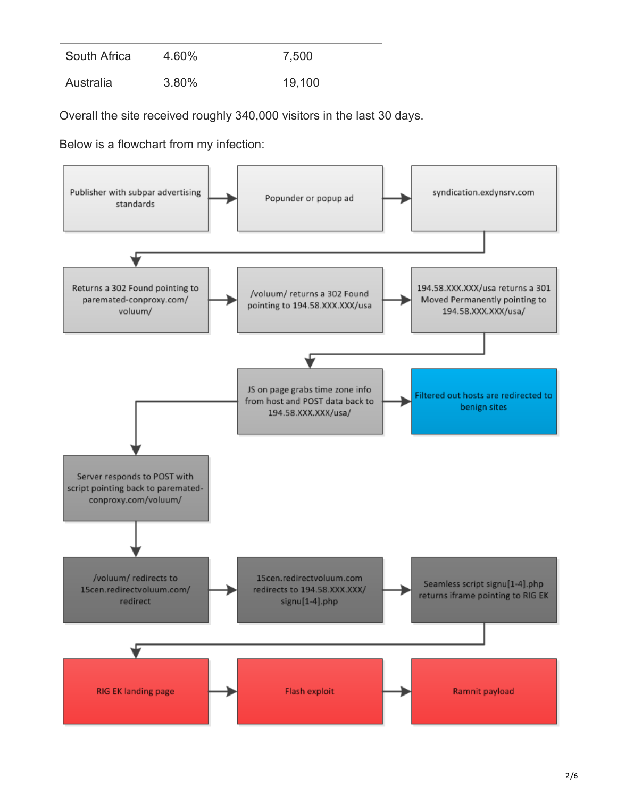| South Africa | 4.60%    | 7,500  |
|--------------|----------|--------|
| Australia    | $3.80\%$ | 19,100 |

Overall the site received roughly 340,000 visitors in the last 30 days.

Below is a flowchart from my infection:

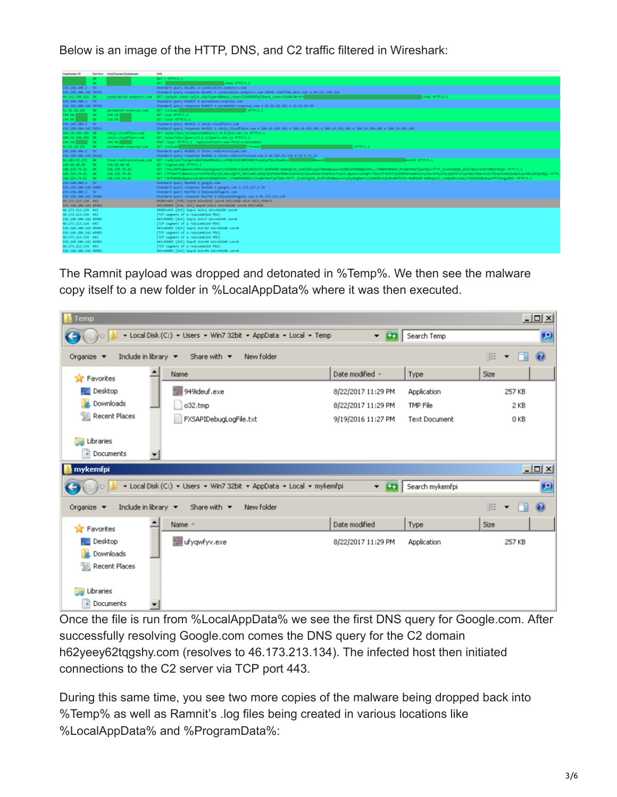Below is an image of the HTTP, DNS, and C2 traffic filtered in Wireshark:

| Destination IP        |     | Dat Port Host/Domain/Subdomain | Info.                                                                                                                                                                                                                     |
|-----------------------|-----|--------------------------------|---------------------------------------------------------------------------------------------------------------------------------------------------------------------------------------------------------------------------|
|                       | 80  |                                | GET / HTTP/1.1                                                                                                                                                                                                            |
|                       | DO. |                                | .html HTTP/1.1<br>GET AT                                                                                                                                                                                                  |
| 192.168.204.2 53      |     |                                | Standard query 0xcd9c A syndication.exdynsrv.com                                                                                                                                                                          |
| 192.168.204.142 58545 |     |                                | Standard query response OxcdDc A syndication.exdynsrv.com CNAME tk6if76q.abln.net A 64.111.199.222                                                                                                                        |
| 64.111.199.222 88     |     |                                | .html HTTP/1.1<br>syndication.exdynsrv.com GET /splash-zones-split.php?type=8&main_zone=2316865&fallback_zone=2316863&ref=                                                                                                |
| 192.168.204.2 53      |     |                                | Standard query 0x982f A paremated-conproxy.com                                                                                                                                                                            |
| 192.168.204.142 59354 |     |                                | Standard query response 0x982f A paremated-conproxy.com A 52.52.18.181 A 52.53.65.99                                                                                                                                      |
| 52.52.18.181 80       |     | parenated-conproxy.com         | GET /volum/<br><b>HTTP/1.1</b>                                                                                                                                                                                            |
| 194.55. 80            |     | 194.55.                        | GET /usa HTTP/1.1                                                                                                                                                                                                         |
| 194.58.               | -89 | 194.58.                        | GET /usa/ HTTP/1.1                                                                                                                                                                                                        |
| 192.168.204.2 53      |     |                                | Standard query 0x5421 A cdnjs.cloudflare.com                                                                                                                                                                              |
| 192.168.204.142 59511 |     |                                | Standard query response 0x5421 A cdnjs.cloudflare.com A 104.19.196.102 A 104.19.193.102 A 104.19.192.102 A 104.19.194.102 A 104.19.195.102                                                                                |
| 184.19.196.182 80     |     | cdnis.cloudflane.com           | 6ET /ajax/libs/istimezonedetect/1.0.6/istz.mln.is HTTP/1.1                                                                                                                                                                |
| 184.19.196.182 80     |     | cdnjs.cloudflare.com           | GET /ajax/libs/jquery/5.2.1/jquery.min.js HTTP/1.1                                                                                                                                                                        |
| 194.58. 80            |     | 194.58.                        | POST /usa/ HTTP/1.1 (application/x-www-form-unlencoded)                                                                                                                                                                   |
| 52.52.18.181 80       |     | paremated-conproxy.com         | GET /volum/<br>HTTP/1.1<br>22track=1                                                                                                                                                                                      |
| 192.168.204.2 53      |     |                                | Standard query 0xd981 A 15cen.redirectvoluum.com                                                                                                                                                                          |
| 192.168.204.142 65116 |     |                                | Standard query response 0xd981 A 15cen.redirectvoluum.com A 54.183.53.133 A 52.9.71.23                                                                                                                                    |
| 54.185.55.135 00      |     |                                | Arm=D3 HTTP/1.1                                                                                                                                                                                                           |
| 194.58.48.48 88       |     | 194.58.40.48                   | GET /signu4.php HTTP/1.1                                                                                                                                                                                                  |
| 188.225.74.81 80      |     | 188.225.74.81                  | SET /?Ptzc1NTMy@mano=VOVCwEUyOKgZmnY1YUAhB86r6jioBz0KZhZfU-BeMMARrJeMRuQz3V_1nb1kQPsig1TH6mI&aano=xX3QMvHBKXQDp3EKv_cT6N0MVHR6UCL2Y2dmrHWefjaefWkzrfFTF_3ozASQS66_dtdf3&wcrk=NTZ0NDI4NjQ= HTTP/1.1                        |
| 188.225.74.81 80      |     | 188.225.74.81                  | GET //HTPM4TV1&nanovyzV1UVF9CBEyvjULXmxL0g5TW RDZZwIR-pDVQrQ52F6km7RHdch1khtX623QnuIttXLkY5ABVnbv7VaSO-w@aanovxH1QHrTYbfkzFFYbfKPjfUKBIPNzHd8DbvVxZharVF5uxFDLGpbf1Fx7spV6dCFmEmvZvdLYHDweh1LN6Swklshop=HDcxHTQ2HDg= HTTP |
| 188.225.74.81 80      |     | 188.225.74.81                  | SET /?WTMAMDQx&pano=xXxQMxAYbRXQDS3Exv_cT6NBMxHkDLCL2Yudw=HVefjaflxkzrDFTF_3ozXATgS66_dtdf3UDV&mano=CwjkyGkgBwmY1ZUAHBB6r6jk5Bz0Kfh2fU-BeMMAkkr3eKRu221_1rbQkdMs1wx6L7VENjC8e&shop=HTYzMzgyCDE=HTTP/1.1                   |
| 192.168.204.2 53      |     |                                | Standard query 0xe54d A google.com                                                                                                                                                                                        |
| 192.168.204.142 64091 |     |                                | Standard query response @xeS4d A google.com A 172.217.5.78                                                                                                                                                                |
| 192.168.204.2 53      |     |                                | Standard query 0xe792 A h62yeey62tggshy.com                                                                                                                                                                               |
| 192.168.204.142 54905 |     |                                | Standard query response 0xe792 A h62yeey62tqgshy.com A 46.173.213.134                                                                                                                                                     |
| 46.173.213.134 443    |     |                                | 49903-443 [SYN] Seq=0 Win=8192 Len=0 MSS=1460 WS=4 SACK_PERM=1                                                                                                                                                            |
| 192.168.204.142 49905 |     |                                | 443-49985 [SYN, ACK] Seg=0 Ack=1 Win=64248 Len=8 PSS=1468                                                                                                                                                                 |
| 46.173.213.134 443    |     |                                | 49983+443 [ACK] Seg=1 Ack=1 Win=64240 Len=0                                                                                                                                                                               |
| 46.173.213.134 443    |     |                                | [TCP segment of a reassembled PDU]                                                                                                                                                                                        |
| 192.168.204.142 49903 |     |                                | 443-49903 [ACK] Seg=1 Ack=7 Win=64240 Len=0                                                                                                                                                                               |
| 46.173.213.134 443    |     |                                | [TCP segment of a reassembled PDU]                                                                                                                                                                                        |
| 192.168.204.142 49905 |     |                                | 445-49985 [ACK] Seq=1 Ack=82 Win=64248 Len=8                                                                                                                                                                              |
| 192.168.204.142 49903 |     |                                | [TCP segment of a reassembled PDU]                                                                                                                                                                                        |
| 46.173.213.134 443    |     |                                | [TCP segment of a reassembled PDU]                                                                                                                                                                                        |
| 192.168.204.142 49903 |     |                                | 443-49903 [ACK] Seq=8 Ack=88 Win=64240 Len=0                                                                                                                                                                              |
| 46.173.213.134 443    |     |                                | [TCP segment of a reassembled PDU]                                                                                                                                                                                        |
| 192.168.204.142 49985 |     |                                | 443-49983 [ACK] Seg=8 Ack=89 Win=64248 Len=8                                                                                                                                                                              |

The Ramnit payload was dropped and detonated in %Temp%. We then see the malware copy itself to a new folder in %LocalAppData% where it was then executed.

| $\underline{\Box} \Box$<br>Temp                                                                        |                                                                     |                    |                                |                                       |  |  |  |  |  |
|--------------------------------------------------------------------------------------------------------|---------------------------------------------------------------------|--------------------|--------------------------------|---------------------------------------|--|--|--|--|--|
| v Local Disk (C:) v Users v Win7 32bit v AppData v Local v Temp<br>$-5$<br>Search Temp<br>$\mathbf{p}$ |                                                                     |                    |                                |                                       |  |  |  |  |  |
| Include in library $\blacktriangledown$<br>Organize $\blacktriangledown$                               | New folder<br>Share with $\blacktriangledown$                       |                    |                                | 胆<br>$\circledcirc$<br>$\blacksquare$ |  |  |  |  |  |
| Favorites                                                                                              | Name                                                                | Date modified -    | Type                           | Size                                  |  |  |  |  |  |
| Desktop                                                                                                | 949ideuf.exe                                                        | 8/22/2017 11:29 PM | Application<br><b>TMP File</b> | 257 KB                                |  |  |  |  |  |
| Downloads                                                                                              | o32.tmp                                                             | 8/22/2017 11:29 PM |                                | 2 KB                                  |  |  |  |  |  |
| Recent Places<br>H                                                                                     | FXSAPIDebugLogFile.txt                                              | 9/19/2016 11:27 PM | <b>Text Document</b>           | 0 KB                                  |  |  |  |  |  |
| Libraries<br>Documents                                                                                 |                                                                     |                    |                                |                                       |  |  |  |  |  |
| mykemfpi                                                                                               |                                                                     |                    |                                | $\Box$ u $\overline{\mathbf{z}}$      |  |  |  |  |  |
|                                                                                                        | v Local Disk (C:) v Users v Win7 32bit v AppData v Local v mykemfpi | $-121$             | Search mykemfpi                | $\mathbf{P}$                          |  |  |  |  |  |
| Include in library $\blacktriangledown$<br>Organize $\blacktriangledown$                               | New folder<br>Share with $\blacktriangledown$                       |                    |                                | 胆<br>$\odot$<br>$\blacksquare$        |  |  |  |  |  |
| Favorites                                                                                              | Name -                                                              | Date modified      | Type                           | Size                                  |  |  |  |  |  |
| Desktop                                                                                                | ufyqwfyv.exe                                                        | 8/22/2017 11:29 PM | Application                    | 257 KB                                |  |  |  |  |  |
| Downloads<br>Recent Places<br>H                                                                        |                                                                     |                    |                                |                                       |  |  |  |  |  |
|                                                                                                        |                                                                     |                    |                                |                                       |  |  |  |  |  |
| Libraries                                                                                              |                                                                     |                    |                                |                                       |  |  |  |  |  |
| 걸<br>Documents                                                                                         | $\overline{\phantom{a}}$                                            |                    |                                |                                       |  |  |  |  |  |

Once the file is run from %LocalAppData% we see the first DNS query for Google.com. After successfully resolving Google.com comes the DNS query for the C2 domain h62yeey62tqgshy.com (resolves to 46.173.213.134). The infected host then initiated connections to the C2 server via TCP port 443.

During this same time, you see two more copies of the malware being dropped back into %Temp% as well as Ramnit's .log files being created in various locations like %LocalAppData% and %ProgramData%: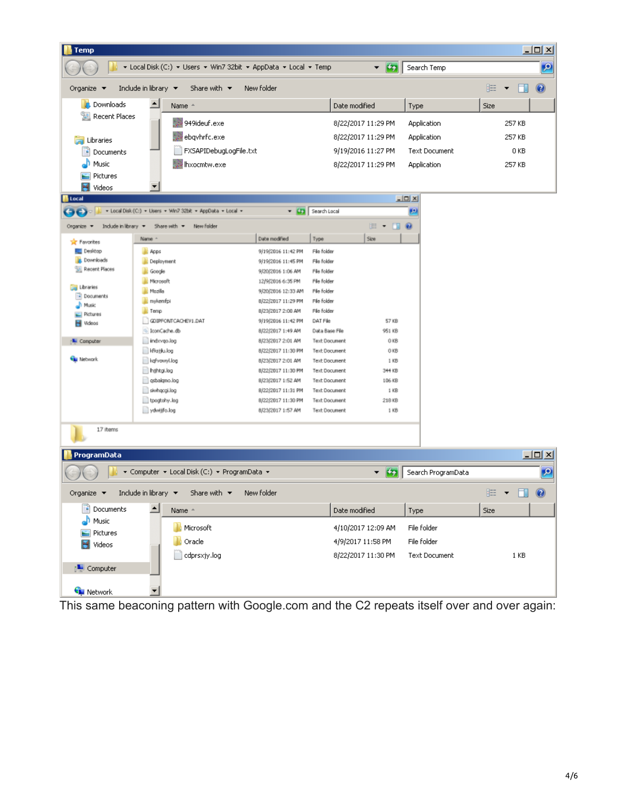| <b>Temp</b>                                                               |                                                                             |                                          |                                                           |                    |                      |      |                                       | $\Box$ u $\times$         |
|---------------------------------------------------------------------------|-----------------------------------------------------------------------------|------------------------------------------|-----------------------------------------------------------|--------------------|----------------------|------|---------------------------------------|---------------------------|
|                                                                           | ▼ Local Disk (C;) ▼ Users ▼ Win7 32bit ▼ AppData ▼ Local ▼ Temp             |                                          |                                                           | <b>B</b><br>▼      | Search Temp          |      |                                       | $\vert \mathcal{P} \vert$ |
| Organize $\blacktriangledown$<br>Include in library $\blacktriangleright$ |                                                                             | 睚                                        | $\Box$<br>$\overline{\phantom{a}}$                        | 0                  |                      |      |                                       |                           |
| <b>Downloads</b>                                                          | Date modified                                                               |                                          | Type                                                      | Size               |                      |      |                                       |                           |
| 99<br><b>Recent Places</b>                                                | 949ideuf.exe                                                                |                                          | 8/22/2017 11:29 PM                                        |                    | Application          |      | 257 KB                                |                           |
|                                                                           |                                                                             |                                          |                                                           |                    |                      |      |                                       |                           |
| Libraries                                                                 | ebgyhrfc.exe                                                                |                                          |                                                           | 8/22/2017 11:29 PM | Application          |      | 257 KB                                |                           |
| E<br>Documents                                                            | FXSAPIDebugLogFile.txt                                                      |                                          |                                                           | 9/19/2016 11:27 PM | <b>Text Document</b> |      | 0 KB                                  |                           |
| Music                                                                     | Ihxocmtw.exe                                                                |                                          |                                                           | 8/22/2017 11:29 PM | Application          |      | 257 KB                                |                           |
| Pictures                                                                  |                                                                             |                                          |                                                           |                    |                      |      |                                       |                           |
| <u>H</u> Videos                                                           | ▼                                                                           |                                          |                                                           |                    |                      |      |                                       |                           |
| Local                                                                     |                                                                             |                                          |                                                           |                    | $-10X$               |      |                                       |                           |
|                                                                           | - Local Disk (C:) - Users - Win7 32bit - AppData - Local -                  |                                          | - Cha Search Local                                        |                    | p                    |      |                                       |                           |
| Indude in library<br>Organize =                                           | New folder<br>Share with *                                                  |                                          |                                                           | 医                  |                      |      |                                       |                           |
| <b>Sig</b> Favorites                                                      | Name                                                                        | Date modified                            | Туре                                                      | Size               |                      |      |                                       |                           |
| <b>Desktop</b>                                                            | <b>Apps</b>                                                                 | 9/19/2016 11:42 PM                       | File folder                                               |                    |                      |      |                                       |                           |
| <b>Downloads</b>                                                          | Deployment                                                                  | 9/19/2016 11:45 PM                       | File folder                                               |                    |                      |      |                                       |                           |
| <b>Recent Places</b>                                                      | <b>III</b> Google                                                           | 9/20/2016 1:06 AM                        | File folder                                               |                    |                      |      |                                       |                           |
| Libraries                                                                 | Microsoft                                                                   | 12/9/2016 6:35 PM                        | File folder                                               |                    |                      |      |                                       |                           |
| Documents                                                                 | <b>Mozilla</b><br>mykemfpi                                                  | 9/20/2016 12:33 AM<br>8/22/2017 11:29 PM | File folder                                               |                    |                      |      |                                       |                           |
| <sup>1</sup> Music                                                        | <b>E</b> Temp                                                               | 8/23/2017 2:00 AM                        | File folder<br>File folder                                |                    |                      |      |                                       |                           |
| Fictures<br><b>H</b> Videos                                               | GDIPFONTCACHEV1.DAT                                                         | 9/19/2016 11:42 PM                       | DAT File<br>57 KB                                         |                    |                      |      |                                       |                           |
|                                                                           | loonCache.db                                                                | 8/22/2017 1:49 AM                        | Data Base File                                            | 951 KB             |                      |      |                                       |                           |
| <b>L</b> Computer                                                         | indxvgo.log                                                                 |                                          | <b>Text Document</b><br>018                               |                    |                      |      |                                       |                           |
|                                                                           | kfkstilu.log                                                                | 8/22/2017 11:30 PM                       | 018<br><b>Text Document</b>                               |                    |                      |      |                                       |                           |
| <b>Car Network</b>                                                        | kgfvowyl.log                                                                | 8/23/2017 2:01 AM                        | 1 KB<br><b>Text Document</b>                              |                    |                      |      |                                       |                           |
|                                                                           | hijhtgi.log                                                                 | 8/22/2017 11:30 PM                       | 344 KB<br>Text Document<br><b>Text Document</b><br>106 KB |                    |                      |      |                                       |                           |
|                                                                           | gsbalgmo.log<br>siwhacgi.log                                                | 8/23/2017 1:52 AM<br>8/22/2017 11:31 PM  | <b>Text Document</b><br>$1$ KB                            |                    |                      |      |                                       |                           |
|                                                                           | toogtohy.log                                                                | 8/22/2017 11:30 PM                       | <b>Text Document</b>                                      | 218KB              |                      |      |                                       |                           |
|                                                                           | ydwijfo.log<br>8/23/2017 1:57 AM                                            |                                          | <b>Text Document</b>                                      | 118                |                      |      |                                       |                           |
|                                                                           |                                                                             |                                          |                                                           |                    |                      |      |                                       |                           |
| 17 items                                                                  |                                                                             |                                          |                                                           |                    |                      |      |                                       |                           |
| ProgramData                                                               |                                                                             |                                          |                                                           |                    |                      |      |                                       | $-12X$                    |
|                                                                           | ▼ Computer ▼ Local Disk (C:) ▼ ProgramData ▼                                |                                          |                                                           | $\mathbf{r}$<br>▼  | Search ProgramData   |      |                                       | $\mathbf{p}$              |
| Organize $\blacktriangledown$                                             | Include in library $\blacktriangleright$<br>Share with $\blacktriangledown$ | New folder                               |                                                           |                    |                      |      | $\mathbb{H}$ $\bullet$ $\Box$ $\odot$ |                           |
| Documents                                                                 | ∸<br>Name +                                                                 |                                          | Date modified                                             |                    | Type                 | Size |                                       |                           |
| Music                                                                     |                                                                             |                                          |                                                           |                    |                      |      |                                       |                           |
| Pictures                                                                  | Microsoft                                                                   |                                          | 4/10/2017 12:09 AM                                        |                    | File folder          |      |                                       |                           |
| Oracle<br>Videos                                                          |                                                                             |                                          | 4/9/2017 11:58 PM                                         |                    | File folder          |      |                                       |                           |
|                                                                           | cdprsxjy.log                                                                |                                          | 8/22/2017 11:30 PM                                        |                    | <b>Text Document</b> |      | 1 KB                                  |                           |
| <b>I Computer</b>                                                         |                                                                             |                                          |                                                           |                    |                      |      |                                       |                           |
| <b>C</b> u Network                                                        | ▼                                                                           |                                          |                                                           |                    |                      |      |                                       |                           |

This same beaconing pattern with Google.com and the C2 repeats itself over and over again: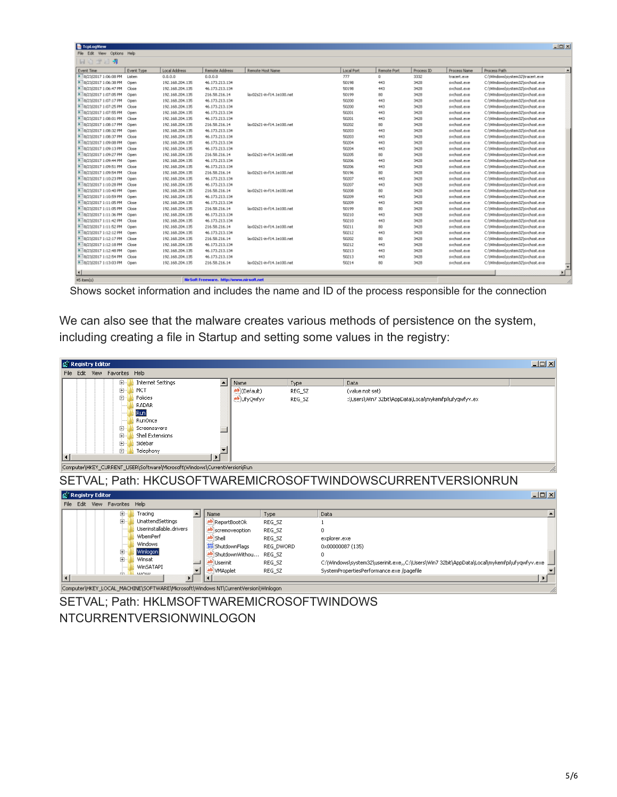| <b>Te</b> TcpLogView         |            |                 |                                          |                           |            |             |            |              |                                  | $-10x$                 |
|------------------------------|------------|-----------------|------------------------------------------|---------------------------|------------|-------------|------------|--------------|----------------------------------|------------------------|
| File Edit View Options Help  |            |                 |                                          |                           |            |             |            |              |                                  |                        |
| 日白子日和                        |            |                 |                                          |                           |            |             |            |              |                                  |                        |
| Event Time                   | Event Type | Local Address   | Remote Address                           | Remote Host Name          | Local Port | Remote Port | Process ID | Process Name | Process Path                     | $\left  \cdot \right $ |
| * 8/23/2017 1:06:08 PM       | Listen     | 0.0.0.0         | 0.0.0.0                                  |                           | 777        | $^{\circ}$  | 3332       | tracert.exe  | C:\Windows\system32\tracert.exe  |                        |
| 8/23/2017 1:06:38 PM         | Open       | 192.168.204.135 | 46.173.213.134                           |                           | 50198      | 443         | 3428       | sychost.exe  | C:\Windows\system32\svchost.exe  |                        |
| 8/23/2017 1:06:47 PM         | Close      | 192.168.204.135 | 46.173.213.134                           |                           | 50198      | 443         | 3428       | sychost.exe  | C:\Windows\system32\svchost.exe  |                        |
| 8/23/2017 1:07:05 PM         | Open       | 192.168.204.135 | 216.58.216.14                            | lax02s21-in-f14.1e100.net | 50199      | 80          | 3428       | sychost.exe  | C:\Windows\system32\svchost.exe  |                        |
| 8/23/2017 1:07:17 PM         | Open       | 192.168.204.135 | 46.173.213.134                           |                           | 50200      | 443         | 3428       | sychost.exe  | C:\Windows\system32\svchost.exe  |                        |
| 8/23/2017 1:07:25 PM         | Close      | 192.168.204.135 | 46.173.213.134                           |                           | 50200      | 443         | 3428       | sychost.exe  | C:\Windows\system32\svchost.exe  |                        |
| 8/23/2017 1:07:55 PM         | Open       | 192.168.204.135 | 46.173.213.134                           |                           | 50201      | 443         | 3428       | sychost.exe  | C:\Windows\system32\svchost.exe  |                        |
| 8/23/2017 1:08:01 PM         | Close      | 192.168.204.135 | 46.173.213.134                           |                           | 50201      | 443         | 3428       | sychost.exe  | C:\Windows\system32\svchost.exe  |                        |
| 8/23/2017 1:08:17 PM         | Open       | 192.168.204.135 | 216.58.216.14                            | lax02s21-in-f14.1e100.net | 50202      | 80          | 3428       | sychost.exe  | C:\Windows\system32\svchost.exe  |                        |
| 8/23/2017 1:08:32 PM         | Open       | 192.168.204.135 | 46.173.213.134                           |                           | 50203      | 443         | 3428       | sychost.exe  | C:\Windows\system32\svchost.exe  |                        |
| 8/23/2017 1:08:37 PM         | Close      | 192.168.204.135 | 46.173.213.134                           |                           | 50203      | 443         | 3428       | sychost.exe  | C:\\\indows\system32\svchost.exe |                        |
| 8/23/2017 1:09:08 PM         | Open       | 192.168.204.135 | 46.173.213.134                           |                           | 50204      | 443         | 3428       | sychost.exe  | C:\Windows\system32\svchost.exe  |                        |
| 8/23/2017 1:09:13 PM         | Close      | 192.168.204.135 | 46.173.213.134                           |                           | 50204      | 443         | 3428       | sychost.exe  | C:\Windows\system32\svchost.exe  |                        |
| 8/23/2017 1:09:27 PM         | Open       | 192.168.204.135 | 216.58.216.14                            | lax02s21-in-F14.1e100.net | 50205      | 80          | 3428       | sychost.exe  | C:\Windows\system32\svchost.exe  |                        |
| 8/23/2017 1:09:44 PM         | Open       | 192.168.204.135 | 46.173.213.134                           |                           | 50206      | 443         | 3428       | sychost.exe  | C:\Windows\system32\svchost.exe  |                        |
| 8/23/2017 1:09:51 PM         | Close      | 192.168.204.135 | 46.173.213.134                           |                           | 50206      | 443         | 3428       | sychost.exe  | C:\Windows\system32\svchost.exe  |                        |
| 8/23/2017 1:09:54 PM         | Close      | 192.168.204.135 | 216.58.216.14                            | lax02s21-in-f14.1e100.net | 50196      | 80          | 3428       | sychost.exe  | C:\Windows\system32\svchost.exe  |                        |
| 8/23/2017 1:10:23 PM         | Open       | 192.168.204.135 | 46.173.213.134                           |                           | 50207      | 443         | 3428       | sychost.exe  | C:\Windows\system32\svchost.exe  |                        |
| 8/23/2017 1:10:28 PM         | Close      | 192.168.204.135 | 46.173.213.134                           |                           | 50207      | 443         | 3428       | sychost.exe  | C:\Windows\system32\svchost.exe  |                        |
| 8/23/2017 1:10:40 PM         | Open       | 192.168.204.135 | 216.58.216.14                            | lax02s21-in-f14.1e100.net | 50208      | 80          | 3428       | sychost.exe  | C:\Windows\system32\svchost.exe  |                        |
| 8 8/23/2017 1:10:59 PM       | Open       | 192.168.204.135 | 46.173.213.134                           |                           | 50209      | 443         | 3428       | sychost.exe  | C:\Windows\system32\svchost.exe  |                        |
| 8/23/2017 1:11:05 PM         | Close      | 192.168.204.135 | 46.173.213.134                           |                           | 50209      | 443         | 3428       | sychost.exe  | C:\Windows\system32\svchost.exe  |                        |
| 8/23/2017 1:11:05 PM         | Close      | 192.168.204.135 | 216.58.216.14                            | lax02s21-in-f14.1e100.net | 50199      | 80          | 3428       | sychost.exe  | C:\Windows\system32\svchost.exe  |                        |
| 8/23/2017 1:11:36 PM         | Open       | 192.168.204.135 | 46.173.213.134                           |                           | 50210      | 443         | 3428       | sychost.exe  | C:\Windows\system32\svchost.exe  |                        |
| 8/23/2017 1:11:42 PM         | Close      | 192.168.204.135 | 46.173.213.134                           |                           | 50210      | 443         | 3428       | sychost.exe  | C:\\\indows\system32\svchost.exe |                        |
| 8/23/2017 1:11:52 PM         | Open       | 192.168.204.135 | 216.58.216.14                            | lax02s21-in-f14.1e100.net | 50211      | 80          | 3428       | sychost.exe  | C:\Windows\system32\svchost.exe  |                        |
| 8/23/2017 1:12:12 PM         | Open       | 192.168.204.135 | 46.173.213.134                           |                           | 50212      | 443         | 3428       | sychost.exe  | C:\Windows\system32\svchost.exe  |                        |
| # 8/23/2017 1:12:17 PM Close |            | 192.168.204.135 | 216.58.216.14                            | lax02s21-in-f14.1e100.net | 50202      | 80          | 3428       | sychost.exe  | C:\Windows\system32\svchost.exe  |                        |
| 8/23/2017 1:12:18 PM         | Close      | 192.168.204.135 | 46.173.213.134                           |                           | 50212      | 443         | 3428       | sychost.exe  | C:\Windows\system32\svchost.exe  |                        |
| 8/23/2017 1:12:48 PM         | Open       | 192.168.204.135 | 46.173.213.134                           |                           | 50213      | 443         | 3428       | sychost.exe  | C:\Windows\system32\svchost.exe  |                        |
| 8/23/2017 1:12:54 PM         | Close      | 192.168.204.135 | 46.173.213.134                           |                           | 50213      | 443         | 3428       | sychost.exe  | C:\Windows\system32\svchost.exe  |                        |
| 8/23/2017 1:13:03 PM Open    |            | 192.168.204.135 | 216.58.216.14                            | lax02s21-in-f14.1e100.net | 50214      | 80          | 3428       | sychost.exe  | C:\Windows\system32\svchost.exe  |                        |
|                              |            |                 |                                          |                           |            |             |            |              |                                  |                        |
| $\blacksquare$               |            |                 |                                          |                           |            |             |            |              |                                  | ъſ                     |
| $45$ item(s)                 |            |                 | NirSoft Freeware, http://www.nirsoft.net |                           |            |             |            |              |                                  |                        |

Shows socket information and includes the name and ID of the process responsible for the connection

We can also see that the malware creates various methods of persistence on the system, including creating a file in Startup and setting some values in the registry:



SETVAL; Path: HKLMSOFTWAREMICROSOFTWINDOWS NTCURRENTVERSIONWINLOGON